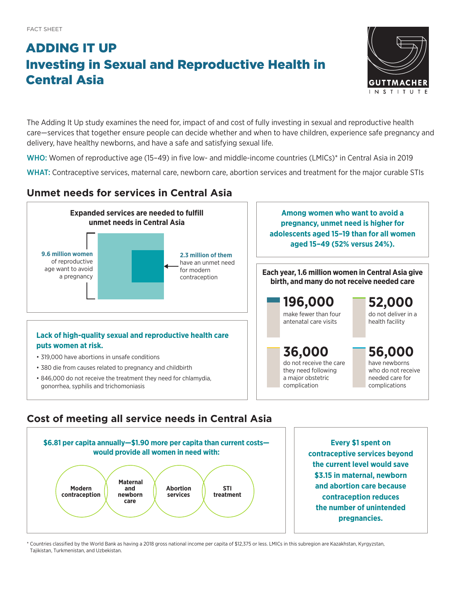# ADDING IT UP Investing in Sexual and Reproductive Health in Central Asia



The Adding It Up study examines the need for, impact of and cost of fully investing in sexual and reproductive health care—services that together ensure people can decide whether and when to have children, experience safe pregnancy and delivery, have healthy newborns, and have a safe and satisfying sexual life.

WHO: Women of reproductive age (15-49) in five low- and middle-income countries (LMICs)<sup>\*</sup> in Central Asia in 2019

WHAT: Contraceptive services, maternal care, newborn care, abortion services and treatment for the major curable STIs

### **Unmet needs for services in Central Asia**



## **Cost of meeting all service needs in Central Asia**



**Every \$1 spent on contraceptive services beyond the current level would save \$3.15 in maternal, newborn and abortion care because contraception reduces the number of unintended pregnancies.**

\* Countries classified by the World Bank as having a 2018 gross national income per capita of \$12,375 or less. LMICs in this subregion are Kazakhstan, Kyrgyzstan, Tajikistan, Turkmenistan, and Uzbekistan.